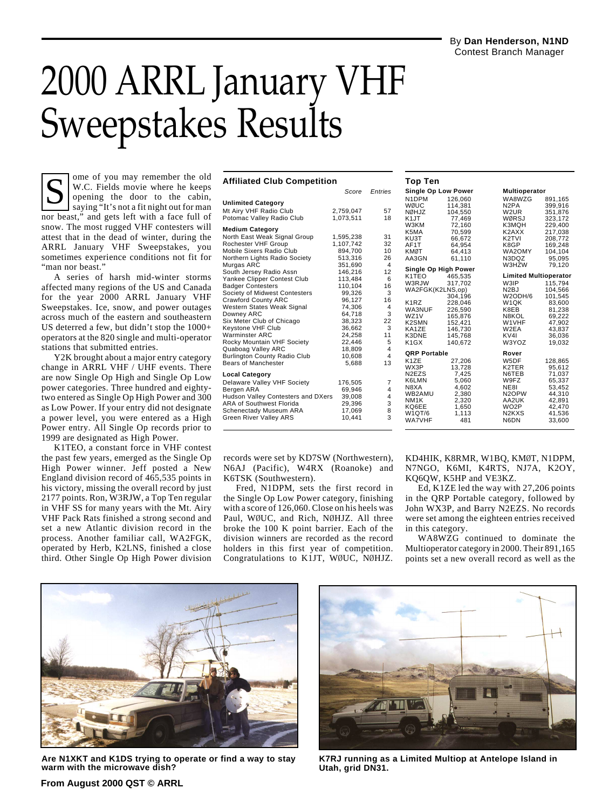## 2000 ARRL January VHF Sweepstakes Results

ome of you may remember the old W.C. Fields movie where he keeps opening the door to the cabin, saying "It's not a fit night out for man nor beast," and gets left with a face full of snow. The most rugged VHF contesters will attest that in the dead of winter, during the ARRL January VHF Sweepstakes, you sometimes experience conditions not fit for "man nor beast." Top Ten<br>
W.C. Fields movie where he keeps<br>
opening the door to the cabin,<br>
saying "It's not a fit night out for man<br>
Making Wells 2.759.047<br>
Score Entries<br>
Single Opening the door to the cabin,<br>
Making Wells 2.759.047<br>
The

A series of harsh mid-winter storms affected many regions of the US and Canada for the year 2000 ARRL January VHF Sweepstakes. Ice, snow, and power outages across much of the eastern and southeastern US deterred a few, but didn't stop the 1000+ operators at the 820 single and multi-operator stations that submitted entries.

Y2K brought about a major entry category change in ARRL VHF / UHF events. There are now Single Op High and Single Op Low power categories. Three hundred and eightytwo entered as Single Op High Power and 300 as Low Power. If your entry did not designate a power level, you were entered as a High Power entry. All Single Op records prior to 1999 are designated as High Power.

K1TEO, a constant force in VHF contest the past few years, emerged as the Single Op High Power winner. Jeff posted a New England division record of 465,535 points in his victory, missing the overall record by just 2177 points. Ron, W3RJW, a Top Ten regular in VHF SS for many years with the Mt. Airy VHF Pack Rats finished a strong second and set a new Atlantic division record in the process. Another familiar call, WA2FGK, operated by Herb, K2LNS, finished a close third. Other Single Op High Power division

|                                     | Score     | Entries        |
|-------------------------------------|-----------|----------------|
| <b>Unlimited Category</b>           |           |                |
| Mt Airy VHF Radio Club              | 2,759,047 | 57             |
| Potomac Valley Radio Club           | 1.073.511 | 18             |
| <b>Medium Category</b>              |           |                |
| North East Weak Signal Group        | 1,595,238 | 31             |
| Rochester VHF Group                 | 1,107,742 | 32             |
| Mobile Sixers Radio Club            | 894.700   | 10             |
| Northern Lights Radio Society       | 513.316   | 26             |
| Murgas ARC                          | 351,690   | $\overline{4}$ |
| South Jersey Radio Assn             | 146,216   | 12             |
| Yankee Clipper Contest Club         | 113,484   | 6              |
| <b>Badger Contesters</b>            | 110.104   | 16             |
| Society of Midwest Contesters       | 99.326    | 3              |
| <b>Crawford County ARC</b>          | 96,127    | 16             |
| Western States Weak Signal          | 74,306    | $\overline{4}$ |
| Downey ARC                          | 64,718    | 3              |
| Six Meter Club of Chicago           | 38,323    | 22             |
| Keystone VHF Club                   | 36,662    | 3              |
| Warminster ARC                      | 24.258    | 11             |
| Rocky Mountain VHF Society          | 22,446    | 5              |
| Quaboag Valley ARC                  | 18.809    | $\overline{4}$ |
| <b>Burlington County Radio Club</b> | 10.608    | $\overline{4}$ |
| <b>Bears of Manchester</b>          | 5,688     | 13             |
| Local Category                      |           |                |
| Delaware Valley VHF Society         | 176,505   | $\overline{7}$ |
| Bergen ARA                          | 69,946    | $\overline{4}$ |
| Hudson Valley Contesters and DXers  | 39.008    | $\overline{4}$ |
| <b>ARA of Southwest Florida</b>     | 29,396    | 3              |
| Schenectady Museum ARA              | 17.069    | 8              |
| Green River Vallev ARS              | 10.441    | 3              |

**Affiliated Club Competition**

|    | Top Ten                        |                      |                                 |         |
|----|--------------------------------|----------------------|---------------------------------|---------|
| es | <b>Single Op Low Power</b>     |                      | Multioperator                   |         |
|    | N1DPM                          | 126.060              | WA8WZG                          | 891,165 |
|    | WØUC                           | 114.381              | N <sub>2</sub> PA               | 399,916 |
| 57 | NØHJZ                          | 104.550              | W <sub>2</sub> UR               | 351,876 |
| 18 | K <sub>1</sub> JT              | 77,469               | WØRSJ                           | 323,172 |
|    | W3KM                           | 72,160               | K3MQH                           | 229,400 |
|    | K5MA                           | 70,599               | K2AXX                           | 217,038 |
| 31 | KU3T                           | 66,672               | K <sub>2</sub> TVI              | 208,772 |
| 32 | AF1T                           | 64,954               | K8GP                            | 169,248 |
| 10 | <b>KMØT</b>                    | 64,413               | WA2OMY                          | 104,104 |
| 26 | AA3GN                          | 61.110               | N3DQZ                           | 95,095  |
| 4  |                                | Single Op High Power | W3HZW                           | 79.120  |
| 12 | K1TEO                          | 465,535              | <b>Limited Multioperator</b>    |         |
| 6  | W3RJW                          | 317,702              | W3IP                            | 115,794 |
| 16 | WA2FGK(K2LNS,op)               |                      | N <sub>2</sub> BJ               | 104,566 |
| 3  |                                | 304,196              | W2ODH/6                         | 101,545 |
| 16 | K1RZ                           | 228,046              | W1QK                            | 83,600  |
| 4  | WA3NUF                         | 226.590              | K8EB                            | 81,238  |
| 3  | WZ1V                           | 165,876              | N8KOL                           | 69,222  |
| 22 | K <sub>2</sub> SM <sub>N</sub> | 152,421              | W1VHF                           | 47,902  |
| 3  | KA1ZE                          | 146,730              | W2EA                            | 43,837  |
| 11 | K3DNE                          | 145.768              | KV4I                            | 36,036  |
| 5  | K <sub>1</sub> G <sub>X</sub>  | 140,672              | W3YOZ                           | 19,032  |
| 4  |                                |                      |                                 |         |
| 4  | <b>QRP Portable</b>            |                      | Rover                           |         |
| 13 | K1ZE                           | 27,206               | W5DF                            | 128,865 |
|    | WX3P                           | 13,728               | K2TER                           | 95,612  |
|    | N <sub>2</sub> EZ <sub>S</sub> | 7,425                | N6TEB                           | 71,037  |
| 7  | K6LMN                          | 5,060                | W9FZ                            | 65,337  |
| 4  | N8XA                           | 4,602                | <b>NE81</b>                     | 53,452  |
| 4  | WB2AMU                         | 2,380                | N <sub>2</sub> OPW<br>AA2UK     | 44,310  |
| 3  | NM <sub>1</sub> K              | 2,320                | WO <sub>2</sub> P               | 42,891  |
| 8  | KQ6EE<br>W1QT/6                | 1,650                | N <sub>2</sub> K <sub>X</sub> S | 42,470  |
| 3  | <b>WA7VHF</b>                  | 1.113<br>481         | N6DN                            | 41,536  |
|    |                                |                      |                                 | 33,600  |
|    |                                |                      |                                 |         |

records were set by KD7SW (Northwestern), N6AJ (Pacific), W4RX (Roanoke) and K6TSK (Southwestern).

Fred, N1DPM, sets the first record in the Single Op Low Power category, finishing with a score of 126,060. Close on his heels was Paul, WØUC, and Rich, NØHJZ. All three broke the 100 K point barrier. Each of the division winners are recorded as the record holders in this first year of competition. Congratulations to K1JT, WØUC, NØHJZ.

KD4HIK, K8RMR, W1BQ, KMØT, N1DPM, N7NGO, K6MI, K4RTS, NJ7A, K2OY, KQ6QW, K5HP and VE3KZ.

Ed, K1ZE led the way with 27,206 points in the QRP Portable category, followed by John WX3P, and Barry N2EZS. No records were set among the eighteen entries received in this category.

WA8WZG continued to dominate the Multioperator category in 2000. Their 891,165 points set a new overall record as well as the



**Are N1XKT and K1DS trying to operate or find a way to stay warm with the microwave dish?**



**K7RJ running as a Limited Multiop at Antelope Island in Utah, grid DN31.**

**From August 2000 QST © ARRL**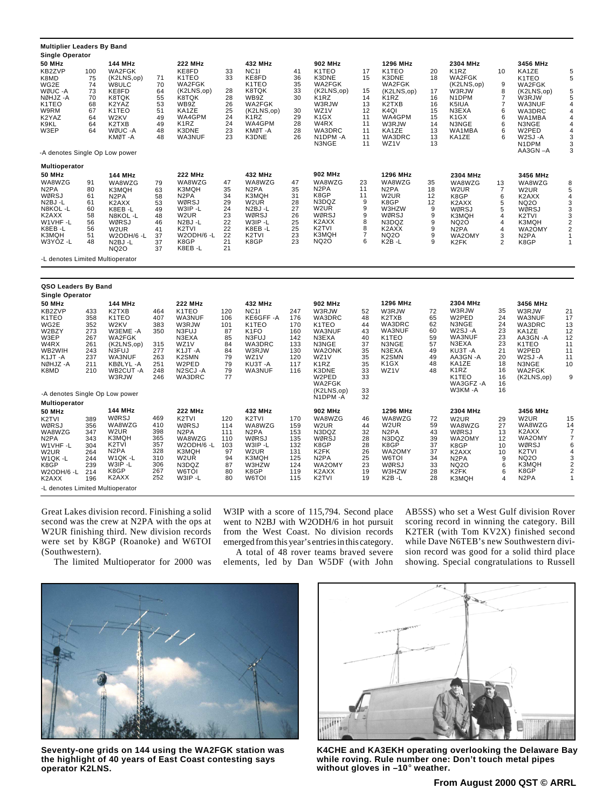| <b>Multiplier Leaders By Band</b>                                                                                                                                  |                                                                    |                                                                                                                                                                        |                                                                    |                                                                                                                                                                          |                                                                   |                                                                                                                                           |                                                                    |                                                                                                                                                    |                                                                      |                                                                                                                                                   |                                                                |                                                                                                                                            |                                                                                                       |                                                                                                                                                |                                                                                                                                        |
|--------------------------------------------------------------------------------------------------------------------------------------------------------------------|--------------------------------------------------------------------|------------------------------------------------------------------------------------------------------------------------------------------------------------------------|--------------------------------------------------------------------|--------------------------------------------------------------------------------------------------------------------------------------------------------------------------|-------------------------------------------------------------------|-------------------------------------------------------------------------------------------------------------------------------------------|--------------------------------------------------------------------|----------------------------------------------------------------------------------------------------------------------------------------------------|----------------------------------------------------------------------|---------------------------------------------------------------------------------------------------------------------------------------------------|----------------------------------------------------------------|--------------------------------------------------------------------------------------------------------------------------------------------|-------------------------------------------------------------------------------------------------------|------------------------------------------------------------------------------------------------------------------------------------------------|----------------------------------------------------------------------------------------------------------------------------------------|
| <b>Single Operator</b>                                                                                                                                             |                                                                    |                                                                                                                                                                        |                                                                    |                                                                                                                                                                          |                                                                   |                                                                                                                                           |                                                                    |                                                                                                                                                    |                                                                      |                                                                                                                                                   |                                                                |                                                                                                                                            |                                                                                                       |                                                                                                                                                |                                                                                                                                        |
| <b>50 MHz</b><br>KB2ZVP<br>K8MD<br>WG2E<br>WØUC - A<br>NØHJZ-A<br>K1TEO<br>W9RM<br>K2YAZ<br>K9KL<br>W3EP<br>-A denotes Single Op Low power                         | 100<br>75<br>74<br>73<br>70<br>68<br>67<br>64<br>64<br>64          | 144 MHz<br>WA2FGK<br>(K2LNS,op)<br>W8ULC<br>KE8FD<br>K8TQK<br>K2YAZ<br>K <sub>1</sub> TEO<br>W2KV<br>K2TXB<br>WØUC - A<br>KMØT-A                                       | 71<br>70<br>64<br>55<br>53<br>51<br>49<br>49<br>48<br>48           | <b>222 MHz</b><br>KE8FD<br>K1TEO<br>WA2FGK<br>(K2LNS,op)<br>K8TQK<br>WB9Z<br>KA1ZE<br>WA4GPM<br>K <sub>1</sub> RZ<br>K3DNE<br>WA3NUF                                     | 33<br>33<br>28<br>28<br>26<br>25<br>24<br>24<br>23<br>23          | 432 MHz<br>NC <sub>11</sub><br>KE8FD<br>K1TEO<br>K8TQK<br>WB9Z<br>WA2FGK<br>(K2LNS,op)<br>K <sub>1</sub> RZ<br>WA4GPM<br>KMØT-A<br>K3DNE  | 41<br>36<br>35<br>33<br>30<br>30<br>29<br>28<br>28<br>26           | 902 MHz<br>K1TEO<br>K3DNE<br>WA2FGK<br>(K2LNS.op)<br>K <sub>1</sub> RZ<br>W3RJW<br>WZ1V<br>K <sub>1</sub> GX<br>W4RX<br>WA3DRC<br>N1DPM-A<br>N3NGE | 17<br>15<br>15<br>14<br>13<br>12<br>11<br>11<br>11<br>11<br>11       | 1296 MHz<br>K1TEO<br>K3DNE<br>WA2FGK<br>(K2LNS,op)<br>K <sub>1</sub> RZ<br>K2TXB<br>K <sub>4Q</sub><br>WA4GPM<br>W3RJW<br>KA1ZE<br>WA3DRC<br>WZ1V | 20<br>18<br>17<br>16<br>16<br>15<br>15<br>14<br>13<br>13<br>13 | 2304 MHz<br>K <sub>1</sub> RZ<br>WA2FGK<br>(K2LNS,op)<br>W3RJW<br>N1DPM<br>K5IUA<br>N3EXA<br>K <sub>1</sub> GX<br>N3NGE<br>WA1MBA<br>KA1ZE | 10<br>9<br>8<br>$\overline{7}$<br>$\overline{7}$<br>6<br>6<br>6<br>6<br>6                             | 3456 MHz<br>KA1ZE<br>K1TEO<br>WA2FGK<br>(K2LNS.op)<br>W3RJW<br>WA3NUF<br>WA3DRC<br>WA1MBA<br>N3NGE<br>W2PED<br>W2SJ-A<br>N1DPM<br>AA3GN-A      | 5<br>5<br>5<br>5<br>4<br>4<br>4<br>4<br>$\overline{4}$<br>3<br>3<br>3                                                                  |
|                                                                                                                                                                    |                                                                    |                                                                                                                                                                        |                                                                    |                                                                                                                                                                          |                                                                   |                                                                                                                                           |                                                                    |                                                                                                                                                    |                                                                      |                                                                                                                                                   |                                                                |                                                                                                                                            |                                                                                                       |                                                                                                                                                |                                                                                                                                        |
| <b>Multioperator</b><br><b>50 MHz</b><br>WA8WZG<br>N <sub>2</sub> PA<br>WØRSJ<br>N <sub>2</sub> BJ-L<br>N8KOL-L<br>K2AXX<br>W1VHF-L<br>K8EB-L<br>K3MQH<br>W3YOZ -L | 91<br>80<br>61<br>61<br>60<br>58<br>56<br>56<br>51<br>48           | <b>144 MHz</b><br>WA8WZG<br>K3MQH<br>N <sub>2</sub> PA<br>K2AXX<br>K8EB-L<br>N8KOL-L<br>WØRSJ<br>W <sub>2</sub> UR<br>W2ODH/6 -L<br>N <sub>2</sub> BJ-L<br><b>NQ20</b> | 79<br>63<br>58<br>53<br>49<br>48<br>46<br>41<br>37<br>37<br>37     | <b>222 MHz</b><br>WA8WZG<br>K3MQH<br>N <sub>2</sub> PA<br>WØRSJ<br>W3IP-L<br>W2UR<br>N <sub>2</sub> BJ-L<br>K2TVI<br>W2ODH/6 -L<br>K8GP<br>K8EB-L                        | 47<br>35<br>34<br>29<br>24<br>23<br>22<br>22<br>22<br>21<br>21    | 432 MHz<br>WA8WZG<br>N <sub>2</sub> PA<br>K3MQH<br>W <sub>2</sub> UR<br>N2BJ-L<br>WØRSJ<br>W3IP-L<br>K8EB-L<br>K <sub>2</sub> TVI<br>K8GP | 47<br>35<br>31<br>28<br>27<br>26<br>25<br>25<br>23<br>23           | 902 MHz<br>WA8WZG<br>N <sub>2</sub> PA<br>K8GP<br>N3DQZ<br>W2UR<br>WØRSJ<br>K2AXX<br>K2TVI<br>K3MQH<br><b>NQ20</b>                                 | 23<br>11<br>11<br>9<br>9<br>9<br>8<br>8<br>$\overline{7}$<br>6       | 1296 MHz<br>WA8WZG<br>N <sub>2</sub> PA<br>W <sub>2</sub> UR<br>K8GP<br>W3HZW<br>WØRSJ<br>N3DQZ<br>K2AXX<br><b>NQ2O</b><br>K2B-L                  | 35<br>18<br>12<br>12<br>9<br>9<br>9<br>9<br>9<br>9             | 2304 MHz<br>WA8WZG<br>W <sub>2</sub> UR<br>K8GP<br>K2AXX<br>WØRSJ<br>K3MQH<br><b>NQ20</b><br>N <sub>2</sub> PA<br>WA2OMY<br>K2FK           | 13<br>$\overline{7}$<br>$\,6\,$<br>$\sqrt{5}$<br>5<br>$\overline{4}$<br>4<br>4<br>3<br>$\overline{2}$ | 3456 MHz<br>WA8WZG<br>W <sub>2</sub> UR<br>K <sub>2</sub> AXX<br><b>NQ20</b><br>WØRSJ<br>K2TVI<br>K3MQH<br>WA2OMY<br>N <sub>2</sub> PA<br>K8GP | $\frac{8}{5}$<br>$\overline{\mathbf{r}}$<br>$\frac{3}{3}$<br>$\overline{\mathbf{c}}$<br>$\overline{2}$<br>$\mathbf{1}$<br>$\mathbf{1}$ |
| -L denotes Limited Multioperator                                                                                                                                   |                                                                    |                                                                                                                                                                        |                                                                    |                                                                                                                                                                          |                                                                   |                                                                                                                                           |                                                                    |                                                                                                                                                    |                                                                      |                                                                                                                                                   |                                                                |                                                                                                                                            |                                                                                                       |                                                                                                                                                |                                                                                                                                        |
|                                                                                                                                                                    |                                                                    |                                                                                                                                                                        |                                                                    |                                                                                                                                                                          |                                                                   |                                                                                                                                           |                                                                    |                                                                                                                                                    |                                                                      |                                                                                                                                                   |                                                                |                                                                                                                                            |                                                                                                       |                                                                                                                                                |                                                                                                                                        |
| QSO Leaders By Band                                                                                                                                                |                                                                    |                                                                                                                                                                        |                                                                    |                                                                                                                                                                          |                                                                   |                                                                                                                                           |                                                                    |                                                                                                                                                    |                                                                      |                                                                                                                                                   |                                                                |                                                                                                                                            |                                                                                                       |                                                                                                                                                |                                                                                                                                        |
| <b>Single Operator</b>                                                                                                                                             |                                                                    |                                                                                                                                                                        |                                                                    |                                                                                                                                                                          |                                                                   |                                                                                                                                           |                                                                    |                                                                                                                                                    |                                                                      |                                                                                                                                                   |                                                                |                                                                                                                                            |                                                                                                       |                                                                                                                                                |                                                                                                                                        |
| <b>50 MHz</b><br>KB2ZVP<br>K1TEO<br>WG2E<br>W2BZY<br>W3EP<br>W4RX<br>WB2WIH<br>K1JT-A<br>NØHJZ-A<br>K8MD<br>-A denotes Single Op Low power                         | 433<br>358<br>352<br>273<br>267<br>261<br>243<br>237<br>211<br>210 | 144 MHz<br>K2TXB<br>K1TEO<br>W2KV<br>W3EME-A<br>WA2FGK<br>(K2LNS,op)<br>N3FUJ<br>WA3NUF<br>KBØLYL-A<br>WB2CUT-A<br>W3RJW                                               | 464<br>407<br>383<br>350<br>315<br>277<br>263<br>251<br>248<br>246 | <b>222 MHz</b><br>K <sub>1</sub> T <sub>E</sub> O<br>WA3NUF<br>W3RJW<br>N3FUJ<br>N3EXA<br>WZ1V<br>K1JT-A<br>K <sub>2</sub> SM <sub>N</sub><br>W2PED<br>N2SCJ-A<br>WA3DRC | 120<br>106<br>101<br>87<br>85<br>84<br>84<br>79<br>79<br>79<br>77 | 432 MHz<br><b>NC11</b><br>KE6GFF-A<br>K1TEO<br>K <sub>1</sub> FO<br>N3FUJ<br>WA3DRC<br>W3RJW<br>WZ <sub>1</sub> V<br>KU3T-A<br>WA3NUF     | 247<br>176<br>170<br>160<br>142<br>133<br>130<br>120<br>117<br>116 | 902 MHz<br>W3RJW<br>WA3DRC<br>K1TEO<br>WA3NUF<br>N3EXA<br>N3NGE<br><b>WA2ONK</b><br>WZ1V<br>K1RZ<br>K3DNE<br>W2PED<br>WA2FGK<br>(K2LNS,op)         | 52<br>48<br>44<br>43<br>40<br>37<br>35<br>35<br>35<br>33<br>33<br>33 | 1296 MHz<br>W3RJW<br>K2TXB<br>WA3DRC<br>WA3NUF<br>K1TEO<br>N3NGE<br>N3EXA<br>K2SMN<br>K1GX<br>WZ1V                                                | 72<br>65<br>62<br>60<br>59<br>57<br>49<br>49<br>48<br>48       | 2304 MHz<br>W3RJW<br>W2PED<br>N3NGE<br>W2SJ-A<br>WA3NUF<br>N3EXA<br>KU3T-A<br>AA3GN-A<br>KA1ZE<br>K1RZ<br>K1TEO<br>WA3GFZ -A<br>W3KM-A     | 35<br>24<br>24<br>23<br>23<br>23<br>21<br>20<br>18<br>16<br>16<br>16<br>16                            | 3456 MHz<br>W3RJW<br><b>WA3NUF</b><br>WA3DRC<br>KA1ZE<br>AA3GN-A<br>K1TEO<br>W2PED<br>W <sub>2</sub> SJ-A<br>N3NGE<br>WA2FGK<br>(K2LNS,op)     | 21<br>17<br>13<br>12<br>12<br>11<br>11<br>11<br>10<br>9                                                                                |
| Multioperator                                                                                                                                                      |                                                                    |                                                                                                                                                                        |                                                                    |                                                                                                                                                                          |                                                                   |                                                                                                                                           |                                                                    | N1DPM-A                                                                                                                                            | 32                                                                   |                                                                                                                                                   |                                                                |                                                                                                                                            |                                                                                                       |                                                                                                                                                |                                                                                                                                        |
| <b>50 MHz</b><br>K <sub>2</sub> TVI<br>WØRSJ<br>WA8WZG<br>N <sub>2</sub> PA<br>W1VHF-L<br>W2UR<br>W1QK-L<br>K8GP<br>W2ODH/6 -L<br>K2AXX                            | 389<br>356<br>347<br>343<br>304<br>264<br>244<br>239<br>214<br>196 | 144 MHz<br>WØRSJ<br>WA8WZG<br>W <sub>2</sub> UR<br>K3MQH<br>K <sub>2</sub> TVI<br>N <sub>2</sub> PA<br>W1QK-L<br>W3IP-L<br>K8GP<br>K2AXX                               | 469<br>410<br>398<br>365<br>357<br>328<br>310<br>306<br>267<br>252 | 222 MHz<br>K <sub>2</sub> TVI<br>WØRSJ<br>N <sub>2</sub> PA<br>WA8WZG<br>W2ODH/6 -L<br>K3MQH<br>W <sub>2</sub> UR<br>N3DQZ<br>W6TOI<br>W3IP-L                            | 120<br>114<br>111<br>110<br>103<br>97<br>94<br>87<br>80<br>80     | 432 MHz<br>K <sub>2</sub> TVI<br>WA8WZG<br>N <sub>2</sub> PA<br>WØRSJ<br>W3IP-L<br>W2UR<br>K3MQH<br>W3HZW<br>K8GP<br>W6TOI                | 170<br>159<br>153<br>135<br>132<br>131<br>125<br>124<br>119<br>115 | 902 MHz<br>WA8WZG<br>W <sub>2</sub> UR<br>N3DQZ<br>WØRSJ<br>K8GP<br>K2FK<br>N <sub>2</sub> PA<br>WA2OMY<br>K <sub>2</sub> AXX<br>K2TVI             | 46<br>44<br>32<br>28<br>28<br>26<br>25<br>23<br>19<br>19             | 1296 MHz<br>WA8WZG<br>W <sub>2</sub> UR<br>N <sub>2</sub> PA<br>N3DQZ<br>K8GP<br>WA2OMY<br>W6TOI<br>WØRSJ<br>W3HZW<br>K2B-L                       | 72<br>59<br>43<br>39<br>37<br>37<br>34<br>33<br>28<br>28       | 2304 MHz<br>W <sub>2</sub> UR<br>WA8WZG<br>WØRSJ<br>WA2OMY<br>K8GP<br>K2AXX<br>N <sub>2</sub> PA<br><b>NQ2O</b><br>K2FK<br>K3MQH           | 29<br>27<br>13<br>12<br>10<br>10<br>9<br>6<br>6<br>4                                                  | 3456 MHz<br>W <sub>2</sub> UR<br>WA8WZG<br>K2AXX<br>WA2OMY<br>WØRSJ<br>K <sub>2</sub> TVI<br><b>NQ2O</b><br>K3MQH<br>K8GP<br>N <sub>2</sub> PA | 15<br>14<br>7<br>$\overline{7}$<br>6<br>4<br>3<br>$\overline{\mathbf{c}}$<br>$\overline{2}$<br>$\mathbf{1}$                            |

Great Lakes division record. Finishing a solid second was the crew at N2PA with the ops at W2UR finishing third. New division records were set by K8GP (Roanoke) and W6TOI (Southwestern).

-L denotes Limited Multioperator

The limited Multioperator for 2000 was

W3IP with a score of 115,794. Second place went to N2BJ with W2ODH/6 in hot pursuit from the West Coast. No division records emerged from this year's entries in this category.

A total of 48 rover teams braved severe elements, led by Dan W5DF (with John

AB5SS) who set a West Gulf division Rover scoring record in winning the category. Bill K2TER (with Tom KV2X) finished second while Dave N6TEB's new Southwestern division record was good for a solid third place showing. Special congratulations to Russell



**Seventy-one grids on 144 using the WA2FGK station was the highlight of 40 years of East Coast contesting says operator K2LNS.**



**K4CHE and KA3EKH operating overlooking the Delaware Bay while roving. Rule number one: Don't touch metal pipes without gloves in –10**° **weather.**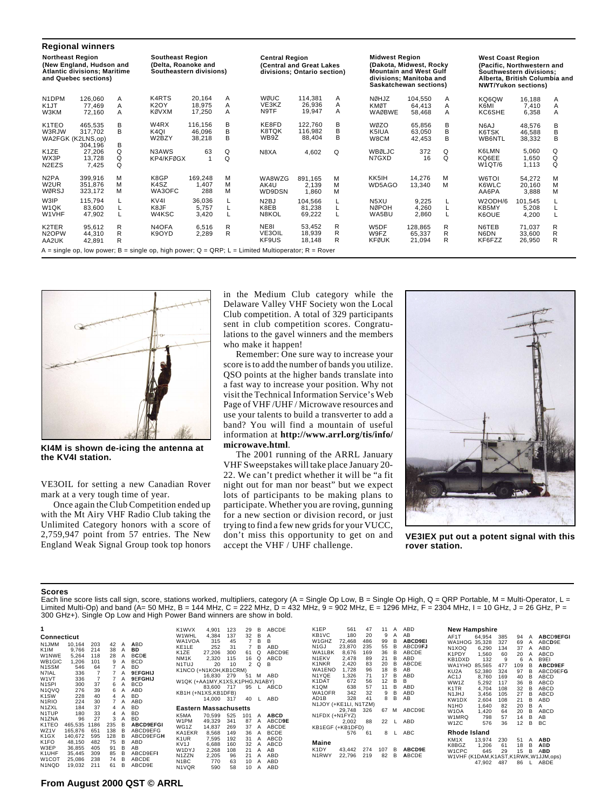| <b>Regional winners</b>                                                                                     |                               |             |                                                                                                    |                             |             |                                    |                                                         |             |                                                                                                             |                             |               |                                                        |                                                                                        |             |
|-------------------------------------------------------------------------------------------------------------|-------------------------------|-------------|----------------------------------------------------------------------------------------------------|-----------------------------|-------------|------------------------------------|---------------------------------------------------------|-------------|-------------------------------------------------------------------------------------------------------------|-----------------------------|---------------|--------------------------------------------------------|----------------------------------------------------------------------------------------|-------------|
| <b>Northeast Region</b><br>(New England, Hudson and<br>Atlantic divisions; Maritime<br>and Quebec sections) |                               |             | <b>Southeast Region</b><br>(Delta, Roanoke and<br>Southeastern divisions)                          |                             |             | <b>Central Region</b>              | (Central and Great Lakes<br>divisions; Ontario section) |             | <b>Midwest Region</b><br><b>Mountain and West Gulf</b><br>divisions; Manitoba and<br>Saskatchewan sections) | (Dakota. Midwest. Rockv     |               | <b>West Coast Region</b><br><b>NWT/Yukon sections)</b> | (Pacific, Northwestern and<br>Southwestern divisions:<br>Alberta, British Columbia and |             |
| N1DPM<br>K <sub>1</sub> JT<br>W3KM                                                                          | 126.060<br>77.469<br>72,160   | A<br>A<br>A | K4RTS<br>K <sub>2</sub> OY<br><b>KØVXM</b>                                                         | 20.164<br>18.975<br>17,250  | A<br>A<br>A | WØUC<br>VE3KZ<br>N9TF              | 114.381<br>26,936<br>19.947                             | A<br>Α<br>A | NØHJZ<br>KMØT<br><b>WAØBWE</b>                                                                              | 104.550<br>64.413<br>58,468 | A<br>A<br>A   | KQ6QW<br>K6MI<br>KC6SHE                                | 16.188<br>7,410<br>6,358                                                               | Α<br>Α<br>A |
| K1TEO<br>W3RJW<br>WA2FGK (K2LNS,op)                                                                         | 465.535<br>317.702<br>304,196 | в<br>в<br>в | W <sub>4</sub> RX<br>K <sub>4</sub> QI<br>W2BZY                                                    | 116.156<br>46.096<br>38,218 | в<br>B<br>B | KE8FD<br>K8TQK<br>WB9Z             | 122.760<br>116.982<br>88,404                            | B<br>В<br>B | WØZO<br>K5IUA<br>W8CM                                                                                       | 65,856<br>63,050<br>42,453  | В<br>B<br>B   | N6AJ<br>K6TSK<br>WB6NTL                                | 48,576<br>46,588<br>38,332                                                             | В<br>B<br>B |
| K <sub>1</sub> ZE<br>WX3P<br>N2EZS                                                                          | 27.206<br>13,728<br>7,425     | Q<br>Q<br>Q | N3AWS<br>KP4/KFØGX                                                                                 | 63<br>$\overline{1}$        | Q<br>Q      | N8XA                               | 4,602                                                   | Q           | WBØLJC<br>N7GXD                                                                                             | 372<br>16                   | Q<br>$\Omega$ | K6LMN<br>KQ6EE<br>W1QT/6                               | 5.060<br>1.650<br>1.113                                                                | Q<br>Q<br>Q |
| N <sub>2</sub> PA<br>W <sub>2</sub> UR<br>WØRSJ                                                             | 399,916<br>351.876<br>323,172 | м<br>м<br>м | K8GP<br>K <sub>4</sub> SZ<br>WA3OFC                                                                | 169,248<br>1,407<br>288     | М<br>M<br>М | WA8WZG<br>AK4U<br>WD9DSN           | 891.165<br>2.139<br>1.860                               | м<br>M<br>М | KK5IH<br>WD5AGO                                                                                             | 14,276<br>13,340            | м<br>м        | W6TOI<br>K6WLC<br>AA6PA                                | 54,272<br>20,160<br>3,888                                                              | M<br>M<br>M |
| W3IP<br>W1QK<br>W1VHF                                                                                       | 115.794<br>83,600<br>47,902   |             | KV <sub>4</sub><br>K8JF<br>W4KSC                                                                   | 36.036<br>5,757<br>3,420    |             | N <sub>2</sub> BJ<br>K8EB<br>N8KOL | 104.566<br>81,238<br>69,222                             |             | N5XU<br><b>NØPOH</b><br>WA5BU                                                                               | 9,225<br>4,260<br>2,860     |               | W2ODH/6<br>KB5MY<br>K6OUE                              | 101,545<br>5,208<br>4,200                                                              |             |
| K2TER<br>N <sub>2</sub> OPW<br>AA2UK                                                                        | 95,612<br>44.310<br>42,891    | R<br>R<br>R | N <sub>4</sub> OFA<br>K9OYD                                                                        | 6,516<br>2,289              | R<br>R      | NE8I<br>VE3OIL<br>KF9US            | 53.452<br>18,939<br>18,148                              | R<br>R<br>R | W5DF<br>W9FZ<br><b>KFØUK</b>                                                                                | 128.865<br>65.337<br>21,094 | R<br>R<br>R   | N6TEB<br>N6DN<br>KF6FZZ                                | 71.037<br>33,600<br>26,950                                                             | R<br>R<br>R |
|                                                                                                             |                               |             | A = single op, low power; B = single op, high power; Q = QRP; L = Limited Multioperator; R = Rover |                             |             |                                    |                                                         |             |                                                                                                             |                             |               |                                                        |                                                                                        |             |



**KI4M is shown de-icing the antenna at the KV4I station.**

VE3OIL for setting a new Canadian Rover mark at a very tough time of year.

Once again the Club Competition ended up with the Mt Airy VHF Radio Club taking the Unlimited Category honors with a score of 2,759,947 point from 57 entries. The New England Weak Signal Group took top honors in the Medium Club category while the Delaware Valley VHF Society won the Local Club competition. A total of 329 participants sent in club competition scores. Congratulations to the gavel winners and the members who make it happen!

Remember: One sure way to increase your score is to add the number of bands you utilize. QSO points at the higher bands translate into a fast way to increase your position. Why not visit the Technical Information Service's Web Page of VHF /UHF / Microwave resources and use your talents to build a transverter to add a band? You will find a mountain of useful information at **http://www.arrl.org/tis/info/ microwave.html**.

The 2001 running of the ARRL January VHF Sweepstakes will take place January 20- 22. We can't predict whether it will be "a fit night out for man nor beast" but we expect lots of participants to be making plans to participate. Whether you are roving, gunning for a new section or division record, or just trying to find a few new grids for your VUCC, don't miss this opportunity to get on and accept the VHF / UHF challenge.



**VE3IEX put out a potent signal with this rover station.**

## **Scores**

Each line score lists call sign, score, stations worked, multipliers, category (A = Single Op Low, B = Single Op High, Q = QRP Portable, M = Multi-Operator, L =<br>Limited Multi-Op) and band (A= 50 MHz, B = 144 MHz, C = 222 M 300 GHz+). Single Op Low and High Power Band winners are show in bold.

| 1<br>Connecticut                                                                                                                                                               |                                                                                 |                                                                                      |                                                                                               |                                                |                                                                                                      | K1WVX<br>W1WHL<br>WA1VOA                                                                                                                                 | 4,901<br>4.384<br>315                                                       | 123<br>137<br>45                                         | 29<br>32<br>$\overline{7}$                                     | в<br>в<br>B                               | ABCDE<br>Α<br>B                                                           |
|--------------------------------------------------------------------------------------------------------------------------------------------------------------------------------|---------------------------------------------------------------------------------|--------------------------------------------------------------------------------------|-----------------------------------------------------------------------------------------------|------------------------------------------------|------------------------------------------------------------------------------------------------------|----------------------------------------------------------------------------------------------------------------------------------------------------------|-----------------------------------------------------------------------------|----------------------------------------------------------|----------------------------------------------------------------|-------------------------------------------|---------------------------------------------------------------------------|
| N1JMM<br>K <sub>1</sub> IM<br>W1NWE<br>WB1GIC<br>N <sub>1</sub> SSM<br>N7IAL<br>W <sub>1</sub> VT<br>N <sub>1</sub> SPI<br>N <sub>1</sub> Q <sub>VQ</sub><br>K <sub>1</sub> SW | 10.164<br>9.766<br>5,264<br>1,206<br>546<br>336<br>336<br>300<br>276<br>228     | 203<br>214<br>118<br>101<br>64<br>$\overline{7}$<br>$\overline{7}$<br>37<br>39<br>40 | 42<br>38<br>28<br>9<br>$\overline{7}$<br>$\overline{7}$<br>7<br>6<br>6<br>$\overline{4}$<br>7 | Α<br>Α<br>Α<br>Α<br>A<br>А<br>А<br>Α<br>A<br>A | <b>ABD</b><br>BD<br><b>BCDE</b><br><b>BCD</b><br>BD<br>9EFGHIJ<br>9EFGHIJ<br>BCD<br>ABD<br><b>BD</b> | KE <sub>1</sub> LE<br>K1ZE<br>NM <sub>1</sub> K<br>N <sub>1</sub> TUJ<br>K1NCO (+N1KOH,KB1CRM)<br>W1QK (+AA1MY,K1XS,K1PHG,N1ABY)<br>KB1H (+N1XS, KB1DFB) | 252<br>27.206<br>2.320<br>20<br>16.830<br>83.600<br>14.000                  | 31<br>300<br>115<br>10<br>279<br>717<br>317              | $\overline{7}$<br>61<br>16<br>$\mathfrak{p}$<br>51<br>95<br>40 | B<br>Q<br>Q<br>Q<br>м<br>L<br>L           | ABD<br>ABCD9E<br>ABCD<br>в<br>ABD<br>ABCD<br>ABD                          |
| N <sub>1</sub> R <sub>IO</sub><br>N <sub>1</sub> ZXL<br>N <sub>1</sub> TUP<br>N1ZNA                                                                                            | 224<br>184<br>180<br>96                                                         | 30<br>37<br>33<br>27                                                                 | 4<br>4<br>3                                                                                   | А<br>А<br>Α<br>Α                               | ABD<br>BD<br>BD<br><b>BD</b>                                                                         | <b>Eastern Massachusetts</b><br>K5MA                                                                                                                     | 70.599                                                                      | 525                                                      | 101                                                            | A                                         | <b>ABCD</b>                                                               |
| K <sub>1</sub> TEO<br>WZ1V<br>K <sub>1</sub> GX<br>K <sub>1</sub> FO<br>W3EP<br>K1UHF<br>W <sub>1</sub> COT<br>N <sub>1</sub> NQD                                              | 465.535<br>165.876<br>140.672<br>48.150<br>36.855<br>35.445<br>25.086<br>19,032 | 1186<br>651<br>595<br>482<br>405<br>309<br>238<br>211                                | 235<br>138<br>128<br>75<br>91<br>85<br>74<br>61                                               | в<br>в<br>в<br>в<br>в<br>в<br>в<br>в           | <b>ABCD9EFGI</b><br>ABCD9EFG<br>ABCD9EFGH<br>ABD<br>AB<br>ABCD9EFI<br>ABCDE<br>ABCD9E                | W1PM<br>WG1Z<br>KA1EKR<br>K <sub>1</sub> UR<br>KV <sub>1</sub> J<br>W1DYJ<br>N <sub>1</sub> ZZN<br>N <sub>1</sub> BC<br>N <sub>1</sub> VQR               | 49.329<br>14.837<br>8.568<br>7.595<br>6.688<br>2,268<br>2,205<br>770<br>590 | 341<br>269<br>149<br>192<br>160<br>108<br>96<br>63<br>58 | 87<br>37<br>36<br>31<br>32<br>21<br>21<br>10<br>10             | A<br>A<br>Α<br>Α<br>A<br>A<br>A<br>A<br>A | ABCD9E<br>ABCDE<br><b>BCDE</b><br>ABCD<br>ABCD<br>AB<br>ABD<br>ABD<br>ABD |

| K <sub>1</sub> FP<br>KB1VC<br>W1GHZ<br>N1GJ<br>WA1LBK<br>N1EKV<br>K1NKR<br>WA1ENO<br>N1YQE | 561<br>180<br>72,468<br>23.870<br>8.676<br>2.478<br>2.420<br>1.728<br>1.326 | 47<br>20<br>486<br>235<br>169<br>89<br>83<br>96<br>71 | 11<br>9<br>99<br>55<br>36<br>21<br>20<br>18<br>17 | А<br>Α<br>в<br>в<br>в<br>в<br>в<br>в<br>в | ABD<br>AB<br><b>ABCD9EI</b><br>ABCD9 <b>FJ</b><br>ABCDE<br>ABD<br>ABCDE<br>AB<br>ABD |
|--------------------------------------------------------------------------------------------|-----------------------------------------------------------------------------|-------------------------------------------------------|---------------------------------------------------|-------------------------------------------|--------------------------------------------------------------------------------------|
| K1DAT                                                                                      | 672                                                                         | 56                                                    | 12                                                | в                                         | R                                                                                    |
| K <sub>1</sub> OM                                                                          | 638                                                                         | 57                                                    | 11                                                | в                                         | ABD                                                                                  |
| WA1OFR                                                                                     | 342                                                                         | 32                                                    | 9                                                 | в                                         | ABD                                                                                  |
| AD <sub>1</sub> B                                                                          | 328                                                                         | 41                                                    | 8                                                 | в                                         | AB                                                                                   |
| N1JOY (+KE1LI, N1TZM)                                                                      |                                                                             |                                                       |                                                   |                                           |                                                                                      |
|                                                                                            | 29.748                                                                      | 326                                                   | 67                                                | м                                         | ABCD9E                                                                               |
| N1FDX (+N1FYZ)                                                                             |                                                                             |                                                       |                                                   |                                           |                                                                                      |
|                                                                                            | 2.002                                                                       | 88                                                    | 22                                                | L.                                        | ABD                                                                                  |
| KB1EGF (+KB1DFD)                                                                           |                                                                             |                                                       |                                                   |                                           |                                                                                      |
|                                                                                            | 576                                                                         | 61                                                    | 8                                                 | г                                         | ABC                                                                                  |
| Maine                                                                                      |                                                                             |                                                       |                                                   |                                           |                                                                                      |
| K <sub>1</sub> DY<br>N <sub>1</sub> RWY                                                    | 43.442<br>22.796                                                            | 274<br>219                                            | 107<br>82                                         | в<br>в                                    | <b>ABCD9E</b><br><b>ABCDE</b>                                                        |
|                                                                                            |                                                                             |                                                       |                                                   |                                           |                                                                                      |

| <b>New Hampshire</b>                |        |     |     |   |                  |
|-------------------------------------|--------|-----|-----|---|------------------|
| AF1T                                | 64.954 | 385 | 94  | Α | <b>ABCD9EFGI</b> |
| WA1HOG                              | 35.328 | 327 | 69  | А | ABCD9E           |
| N <sub>1</sub> XOQ                  | 6.290  | 134 | 37  | А | ABD              |
| K1PDY                               | 1.560  | 60  | 20  | А | ABCD             |
| KB1DXD                              | 132    | 9   | 6   | А | B9FI             |
| WA1YHO                              | 85.565 | 477 | 109 | в | <b>ABCD9EF</b>   |
| KU2A                                | 52.380 | 324 | 97  | в | ABCD9FFG         |
| AC <sub>1</sub> J                   | 8.760  | 169 | 40  | в | ABCD             |
| WW1Z                                | 5.292  | 117 | 36  | в | ABCD             |
| K <sub>1</sub> TR                   | 4.704  | 108 | 32  | в | ABCD             |
| N1JHJ                               | 3.456  | 105 | 27  | в | ABCD             |
| KW1DX                               | 2.604  | 108 | 21  | в | ABD              |
| N <sub>1</sub> H <sub>O</sub>       | 1.640  | 82  | 20  | в | А                |
| W <sub>1</sub> OA                   | 1,420  | 64  | 20  | в | ABCD             |
| W <sub>1</sub> MRQ                  | 798    | 57  | 14  | в | AB               |
| W <sub>1</sub> ZC                   | 576    | 36  | 12  | в | BC.              |
| Rhode Island                        |        |     |     |   |                  |
| KM <sub>1</sub> X                   | 13.974 | 230 | 51  | А | <b>ABD</b>       |
| K8BGZ                               | 1.206  | 61  | 18  | в | ABD              |
| W1CPC                               | 645    | 29  | 15  | в | <b>ABD</b>       |
| W1VHF (K1DAM,K1AST,K1RWK,W1JJM,ops) |        |     |     |   |                  |
|                                     | 47,902 | 487 | 86  |   | ABDE             |
|                                     |        |     |     |   |                  |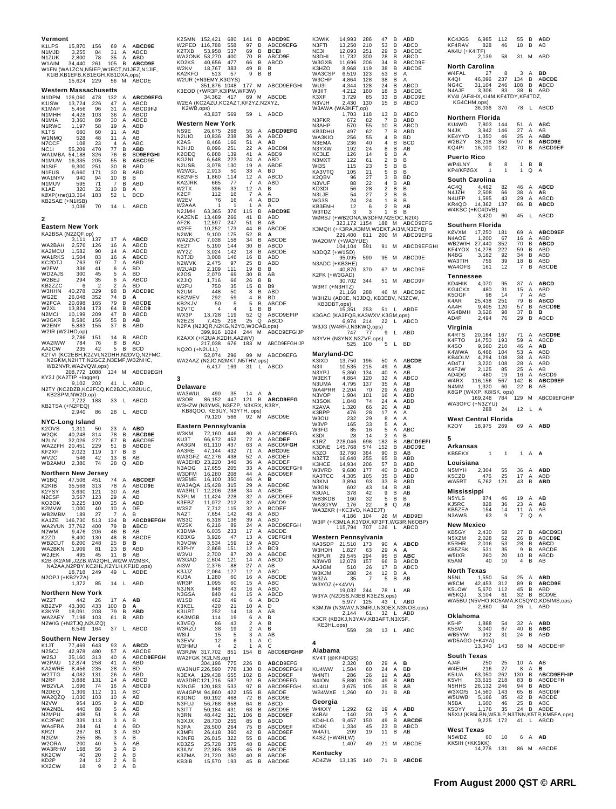| Vermont                                  |                                    |            |                                                    |                  |                                                     | K <sub>2</sub> SM <sub>N</sub><br>152                          |
|------------------------------------------|------------------------------------|------------|----------------------------------------------------|------------------|-----------------------------------------------------|----------------------------------------------------------------|
| K1LPS<br>N1MJD                           | 15,870<br>3,255                    | 156<br>84  | 69<br>31                                           | Α<br>A           | ABCD9E<br>ABCD                                      | 116<br>W2PED<br>K2TXB<br>5.                                    |
| N1ZUK                                    | 2,800                              | 78         | 35                                                 | Α                | <b>ABD</b>                                          | 5 <sup>′</sup><br>WA2ONK<br>KD2KS<br>4                         |
| W1AIM                                    | 34,440                             | 261        | 105                                                | В                | ABCD9E<br>W1FN (WA1ZCN, N5IEP, W1ECT, N1JEZ, N1JIF, | W2KV<br>18                                                     |
|                                          | K1IB, KB1EFB, KB1EGH, KB1DXA, ops) |            |                                                    |                  |                                                     | KA2KFO<br>W2UR (+N3E                                           |
|                                          | 15,624                             | 229        | 56                                                 | М                | ABCDE                                               | 35 <sup>2</sup>                                                |
| Western Massachusetts<br>N1DPM           | 126,060                            | 478        | 132                                                | Α                | ABCD9EFG                                            | K3EOD (+WI<br>3                                                |
| K1ISW                                    | 13,724                             | 226        | 47                                                 | Α                | ABCD                                                | W2EA (KC2/                                                     |
| K1MAP<br>N1MHH                           | 5,456<br>4,428                     | 96<br>103  | 31<br>36                                           | Α<br>A           | ABCD9FJ<br>ABCD                                     | K2WB,ops<br>4.                                                 |
| N1MIA                                    | 3,360                              | 89         | 30                                                 | Α                | ABCD                                                | Western N                                                      |
| N1RWC<br>K <sub>1</sub> T <sub>S</sub>   | 1,197<br>660                       | 58<br>60   | 19<br>11                                           | Α<br>A           | ABD<br>AB                                           | NS9E<br>2(                                                     |
| W1NMQ                                    | 528                                | 48<br>23   | 11                                                 | Α                | AB                                                  | 1(<br>N <sub>2</sub> UIO<br>K <sub>2</sub> A <sub>S</sub><br>Ş |
| N7CCF<br>NC11                            | 108<br>55,209                      | 470        | 4<br>77                                            | Α<br>В           | ABC<br><b>ABD</b>                                   | N <sub>2</sub> HJD<br>Ş                                        |
| WA1MBA                                   | 54,188<br>16,335<br>9,300          | 326        | 76                                                 | в                | <b>BD9EFGHI</b>                                     | K2OEQ<br>ł<br>KG2NI                                            |
| N1MUW<br>N1SIF                           |                                    | 205<br>251 | 55<br>30                                           | в<br>в           | ABCD9E<br>ABD                                       | $\ddot{\cdot}$<br>N <sub>2</sub> USB                           |
| N1FUS                                    | 6,660                              | 171        | 30                                                 | в                | ABD                                                 | W2WGL<br><b>KB2NFS</b>                                         |
| WA1NYV<br>N1MUV                          | 940<br>595                         | 94<br>71   | 10<br>7                                            | в<br>В           | В<br>ABD                                            | KA2JRK                                                         |
| K1AE                                     | 320                                | 32         | 10                                                 | в                | A                                                   | W2TX<br>K <sub>2</sub> CF                                      |
| KØXP(+net)13,364<br>KB2SAE (+N1ISB)      |                                    | 183        | 52                                                 | L                | <b>BCD</b>                                          | W2EV                                                           |
|                                          | 1,036                              | 70         | 14                                                 | L                | ABCD                                                | W2AAA<br>N <sub>2</sub> JMH                                    |
| 2                                        |                                    |            |                                                    |                  |                                                     | $63$<br>$13$<br>$12$<br>KA2ENE                                 |
| Eastern New York                         |                                    |            |                                                    |                  |                                                     | AF <sub>2</sub> K<br>1(<br>W2FE                                |
| KA2BSA (N2ZQF,op)                        |                                    |            |                                                    |                  |                                                     | N <sub>2</sub> WK<br>Î                                         |
| WA2BAH                                   | 3,111<br>2,576                     | 137<br>126 | 17<br>16                                           | Α<br>Α           | <b>ABCD</b><br><b>ABCD</b>                          | WA2ZNC<br><b>A . A . A . C . C . C . C . C . C</b><br>KE2T     |
| KA2MCU                                   | 1,582                              | 90         | 14                                                 | A                | ABCD                                                | WY2Z                                                           |
| WA1RKS<br>KC2DTJ                         | 1,504<br>763                       | 83<br>97   | 16<br>7                                            | Α<br>Α           | <b>ABCD</b><br>ABD                                  | N3TJD<br>N <sub>2</sub> WVK                                    |
| W2FW                                     | 336                                | 41         | 6                                                  | A                | BD                                                  | W2UAD                                                          |
| WD2AJS<br>W2BEJ                          | 300<br>294                         | 45<br>35   | 5<br>6                                             | Α<br>Α           | BD<br>ABCD                                          | K <sub>2</sub> OS<br>K <sub>2</sub> JIQ                        |
| KB2ZZC                                   | 6                                  | 2          | 2                                                  | A                | BD                                                  | W2FU                                                           |
| W3HHN<br>WG2E                            | 40,278<br>26,048                   | 329<br>352 | 98<br>74                                           | B<br>В           | ABCD9E<br>А                                         | N <sub>2</sub> UM<br>KB2WEV                                    |
| W2FCA                                    | 20,698                             | 165        | 79                                                 | В                | <b>ABCDE</b>                                        | KB2KJV                                                         |
| W2XL<br>N <sub>2</sub> MCI               | 13,824                             | 173<br>209 | 64<br>47                                           | в<br>в           | ABCD9<br>ABCD                                       | N2VTC<br>1:<br>WX3P                                            |
| W2GKR                                    | 10,199<br>8,580                    | 156        | 55                                                 | в                | AВ                                                  | N <sub>2</sub> E <sub>Z</sub> S                                |
| W2ENY<br>W2IR (W2JHO,op)                 | 5,883                              | 155        | 37                                                 | В                | ABD                                                 | N2PA (N2JQ<br>399                                              |
|                                          | 2,786                              | 151        | 14                                                 | в                | ABCD                                                | K2AXX (+K2                                                     |
| WA2IWW<br>AA2CW                          | 784<br>235                         | 76<br>42   | 8<br>5                                             | в<br>В           | AD<br><b>BCD</b>                                    | 217<br>NQ2O (+N2L                                              |
|                                          |                                    |            |                                                    |                  | K2TVI (KC2EBH,K2ZVI,N2DHH,N2DVQ,N2FMC,              | 52                                                             |
|                                          | WB2NVR, WA2VQW, ops)               |            |                                                    |                  | N2GKM, N2HTT, N2GCZ, N3EMF, WB2NHC,                 | WA2AAZ (N2<br>ŧ                                                |
|                                          | 208,772 1088                       |            | 134                                                | М                | ABCD9EGH                                            |                                                                |
| KY2J (KA2TIP +logger)                    | 9,102                              | 202        | 41                                                 | L                | ABD                                                 | 3                                                              |
| N2TY (KC2DZB, KC2FCQ, KC2BJC, KB2UUC,    |                                    |            |                                                    |                  |                                                     | Delaware<br>WA3WUL                                             |
|                                          | KB2SPM,NW2D,op)<br>7,722           | 188        | 33                                                 | L                |                                                     | 86<br>W3OR                                                     |
|                                          |                                    |            |                                                    |                  | ABCD                                                |                                                                |
| KB2TSA (+N2PEQ)                          |                                    |            |                                                    |                  |                                                     | W3HZW (N3)                                                     |
|                                          | 2,940                              | 86         | 28                                                 | L                | ABCD                                                | KB8QOO,<br>79                                                  |
| NYC-Long Island                          |                                    |            |                                                    |                  |                                                     | Eastern P                                                      |
| K2OVS<br>W2QK                            | 1,311<br>40,248                    | 50<br>314  | 23<br>78                                           | Α<br>в           | <b>ABD</b><br>ABCD9E                                | 72<br>W3KM                                                     |
| N <sub>2</sub> LIV                       | 32,026                             | 272        | 67                                                 | в                | ABCD9E                                              | KU3T<br>6<br>AA3GN<br>6                                        |
| WA2ZFH<br>KF2XF                          | 20,451<br>2,023                    | 229<br>119 | 51<br>17                                           | в<br>в           | ABCDE<br>В                                          | AA3RE<br>4                                                     |
| WV <sub>2</sub> C                        | 546                                | 42         | 13                                                 | В                | AB                                                  | WA3GFZ<br>WA3EHD                                               |
| WB2AMU                                   | 2,380                              | 74         | 28                                                 | Q                | ABD                                                 | $rac{4}{2}$<br>N3AOG<br>11                                     |
| Northern New Jersey<br>W1BQ              |                                    | 451        | 74                                                 | A                | <b>ABCDEF</b>                                       | 16<br>W3DFM<br>W3EME<br>16                                     |
| K2KIB                                    | 47,508<br>35.568                   | 313        | 78                                                 | Α                | ABCD9E                                              | 15<br>WA3AQA                                                   |
| K2YSY<br>N <sub>2</sub> CSF              | 3,630<br>3,567                     | 121<br>123 | 30<br>29                                           | Α<br>Α           | AB<br>AB                                            | <b>WA3RLT</b><br>N3PLM                                         |
| <b>KU2OK</b>                             | 3.225                              | 1 UU       | 25                                                 | A                | ABD                                                 | $\begin{array}{c} 12 \\ 1 \end{array}$<br>K3EBZ<br>11          |
| K2MVW<br>WB2MBM                          | 1,000<br>189                       | 40<br>27   | 10<br>7                                            | A<br>A           | DE<br>В                                             | W3SZ<br>j<br>NA2T<br>J                                         |
| KA1ZE                                    | 146,730                            | 513        | 134                                                | В                | ABCD9EFGH                                           | ł<br>WS3C                                                      |
| WA2VUN<br>N <sub>2</sub> WM              | 37,762<br>9,476                    | 400<br>206 | 79<br>46                                           | В<br>В           | <b>ABCD</b><br>AB                                   | ł<br>W2SK<br>K3DMA                                             |
| K2ZD                                     | 8,400                              | 130        | 48                                                 | в                | <b>ABCDE</b>                                        | KB3XG                                                          |
| WB2CUT<br>WA2BKN                         | 6,200<br>1,909                     | 248<br>81  | 25<br>23                                           | В<br>в           | в<br>ABD                                            | N3VOW<br>K3PHY                                                 |
| W2JEK                                    | 495                                | 45         | 11                                                 | В                | AB                                                  | W3VU                                                           |
| K2B (K2AMI, J2ZB, WA2QHL, WI2W, W2MSK,   |                                    |            |                                                    |                  | NA2AA,N2PBY,KC2HL,K2YLH,KF1ID,ops)                  | W3GAD<br>AI3W                                                  |
|                                          | 18,718                             | 249        | 49                                                 | L                | ABDE                                                | K3JJZ                                                          |
| N2OPJ (+KB2YZA)                          | 1,372                              | 85         | 14                                                 | L                | ABD                                                 | KU3A<br>WR3P                                                   |
|                                          |                                    |            |                                                    |                  |                                                     | N3JNX                                                          |
| Northern New York<br>WZ2T                | 442                                | 26         | 17                                                 | Α                | AB                                                  | N3GSA<br>W <sub>1</sub> SD                                     |
| KB2ZVP                                   | 43,300                             | 433        | 100                                                | В                | А                                                   | K3KEL                                                          |
| K3KYR<br>WA2AEY                          | 18,091<br>7,198                    | 208<br>103 | 79<br>61                                           | в<br>В           | ABD<br>ABD                                          | K3URT<br>KA3MGB                                                |
| N2WIG (+N2TJQ, N2UZQ)                    |                                    |            |                                                    |                  |                                                     | K3VEQ                                                          |
|                                          | 6,549                              | 164        | 37                                                 | L                | ABCD                                                | W3RZU<br>W8IJ                                                  |
| Southern New Jersey<br>K <sub>1</sub> JT | 77,469                             | 643        | 93                                                 | Α                | <b>ABCD</b>                                         | N3EVV<br>W3HMU                                                 |
| N <sub>2</sub> SCJ                       | 42,978                             | 480        | 57                                                 | Α                | ABCDE                                               | W3RJW<br>317                                                   |
| W2SJ<br>W2PAU                            | 35,160<br>12,874                   | 313<br>258 | 40<br>41                                           | Α<br>Α           | ABCD9EFGH<br>ABD                                    | WA2FGK (K2<br>30ء                                              |
| KA2WRE                                   | 8,456                              | 235        | 28                                                 | Α                | <b>BD</b>                                           | <b>WA3NUF 226</b>                                              |
| W2TTG<br>N <sub>2</sub> RF               | 4,082<br>3,888                     | 131<br>131 | 26<br>24                                           | Α<br>Α           | ABD<br>ABCD                                         | N3EXA<br>129                                                   |
| WB2VLA                                   | 1,696                              | 74         | 16                                                 | Α                | ABCD9                                               | WA3DRC12<br>120<br>N3NGE                                       |
| N2DEQ<br>WA2QZQ                          | 1,309<br>1,030                     | 112<br>103 | 11<br>10                                           | $\mathsf A$<br>Α | BC<br>AB                                            | WA4GPM 94<br>6<br>K3GNC                                        |
| N <sub>2</sub> VW                        | 954                                | 105        | 9                                                  | Α                | ABD                                                 | N3FUJ<br>56                                                    |
| WA2NBL<br>N2MPU                          | 440<br>408                         | 88<br>51   | 5<br>8                                             | A<br>Α           | AB<br>AB                                            | N3ITT<br>5<br>48<br>N3RN                                       |
| KC2FWC                                   | 339                                | 113        | 3                                                  | Α                | B                                                   | N3XJX<br>28                                                    |
| WA4FRA<br>KR2T                           | 284<br>267                         | 61<br>81   | 4<br>3                                             | A<br>Α           | BD<br><b>BD</b>                                     | N3FA<br>28<br>2(<br>K3MFI                                      |
| N2IZM                                    | 255                                | 85         | 3                                                  | Α                | В                                                   | N3NFB<br>26                                                    |
| W2ORA<br>WA3RHW                          | 200<br>168                         | 40<br>56   | 5<br>3                                             | A<br>Α           | AB<br>В                                             | KB3ZS<br>25<br>K3IUV                                           |
| KK2CW<br>KD2P                            | 40<br>24                           | 20<br>12   | $\overline{\mathbf{c}}$<br>$\overline{\mathbf{c}}$ | Α<br>Α           | B<br>В                                              | $\frac{2}{2}$<br>K3ZMA<br>KB3IB<br>15                          |

| K2SMN                                | 152,421<br>116,788                                                    | 680               | 141                                                       | в                            | ABCD9E                   |  |
|--------------------------------------|-----------------------------------------------------------------------|-------------------|-----------------------------------------------------------|------------------------------|--------------------------|--|
| W2PED<br>K2TXB                       | 53,958                                                                | 558<br>537        | 97<br>69                                                  | в<br>в                       | ABCD9EFG<br><b>BCEI</b>  |  |
| WA2ONK 53,270                        |                                                                       | 400               | 70                                                        | в                            | ABCD9E                   |  |
| KD2KS<br>W <sub>2</sub> KV           | 40,656<br>18,767                                                      | 477<br>383        | 66<br>49                                                  | в<br>в                       | ABCD<br>B                |  |
| KA2KFO 513 57<br>W2UR (+N3EMY,K3GYS) |                                                                       |                   | 9                                                         | в                            | в                        |  |
|                                      | 351,876 1048                                                          |                   | 177                                                       | М                            | <b>ARCD9FFGHI</b>        |  |
| K3EOD (+WR3P, K3IPM, WF3W)           |                                                                       |                   |                                                           | M                            |                          |  |
| W2EA (KC2AZU,KC2AZT,KF2YZ,N2XYZ,     | 34,362                                                                | 417               | 69                                                        |                              | ABCDE                    |  |
|                                      | K2WB,ops)<br>43,837                                                   | 569               |                                                           |                              | ABCD                     |  |
|                                      |                                                                       |                   | 59                                                        | L,                           |                          |  |
| Western New York<br>NS9E             | 26,675                                                                | 268               | 55                                                        | Α                            | ABCD9EFG                 |  |
| N2UIO                                | 10,836                                                                | 238               | 36<br>51                                                  | Α                            | ABCD                     |  |
| K2AS<br>N2HJD                        | 8,466<br>8,096                                                        | 166<br>251        | 22                                                        | A<br>$\mathsf A$             | AB<br>ABCD9I             |  |
| K2OEQ                                | 6,888                                                                 | 139               | $\frac{41}{24}$                                           | Α                            | ABD9                     |  |
| KG2NI<br>N2USB                       | 6,648<br>3,078                                                        | 223<br>130        |                                                           | $\mathsf A$                  | ABD<br>ABDE              |  |
| W2WGL                                | 2,013                                                                 | 50                | $19$ A<br>$33$ A<br>$12$ A<br>$7$ A                       |                              | <b>BD</b>                |  |
| KB2NFS<br>KA2JRK                     | 1,860<br>665                                                          | 114<br>77         |                                                           |                              | ABCD<br>ABD              |  |
| W2TX                                 | 396                                                                   | 33                | 12 <sub>1</sub>                                           | $\boldsymbol{\mathsf{A}}$    | в                        |  |
| K2CF<br>W <sub>2</sub> EV            | 112<br>76                                                             | 16<br>16          | 7<br>$\overline{4}$                                       | Α<br>$\mathsf A$             | Α<br><b>BCD</b>          |  |
| W2AAA<br>N2JMH                       | 1                                                                     | 1<br>376          | $\mathbf{1}$<br>115                                       | Α                            | Α<br>ABCD9E              |  |
| KA2ENE                               | 63,365<br>13,489                                                      | 266               | 41                                                        | в<br>в                       | ABD                      |  |
| AF2K<br>W2FE                         | 12,597<br>10,252                                                      | 247<br>173        | 51<br>44                                                  | В<br>в                       | AB<br>ABCDE              |  |
| N2WK                                 | 9,100                                                                 | 175               | 52 B                                                      |                              | Α                        |  |
| WA2ZNC<br>KE2T                       | 7,038<br>5,190                                                        | 158<br>144        | 34<br>30                                                  | в<br>В                       | ABCDE<br>ABCD            |  |
| WY2Z                                 | 3,024                                                                 | 142               | 18                                                        | B                            | ABCDE                    |  |
| N3TJD<br>N2WVK                       | 3,008<br>2,475                                                        | 146<br>97         | 16 B<br>25                                                | - B                          | ABD<br><b>ABD</b>        |  |
| W2UAD                                | 2,109                                                                 | 111               | 19 B                                                      |                              | B                        |  |
| K2OS<br>K2JIQ                        | 2,070<br>1,716                                                        | 69<br>66          | 30<br>$\frac{50}{26}$                                     | в<br>В                       | AB<br>в                  |  |
| W2FU                                 | 750                                                                   | 35                | 15                                                        | в                            | <b>B</b> 9               |  |
| N2UM<br>KB2WEV                       | 448<br>292                                                            | 50<br>59          | 8<br>$\overline{4}$                                       | в<br>в                       | ABD<br>BD                |  |
| KB2KJV                               | 50                                                                    | 5                 | 5                                                         | B                            | ABCDE                    |  |
| N <sub>2</sub> VTC<br>WX3P           | 4<br>13,728                                                           | 4<br>119          | 1<br>52                                                   | в<br>Q                       | в<br>ABCD9EFIP           |  |
| N2EZS                                | 7,425                                                                 | 218               | 25                                                        | $\mathsf Q$                  | ABCD                     |  |
| N2PA (N2JQR, N2KG, N2YB, W3OAB, ops) | 399,916 1024 244                                                      |                   |                                                           | М                            | ABCD9EFGIJP              |  |
| K2AXX (+K2UA,K2DH,AA2WV)             |                                                                       |                   |                                                           |                              |                          |  |
| NQ2O (+N2ULL)                        | 217,038                                                               | 676               | 183                                                       | М                            | <b>ABCD9EFGHIJP</b>      |  |
|                                      | دىر<br>52,074 296                                                     |                   | 99                                                        | M                            | ABCD9EFG                 |  |
| WA2AAZ (N2JC, N2MKT, N5THV, ops)     | 6,417                                                                 | 169               | 31                                                        | L                            | ABCD                     |  |
| 3                                    |                                                                       |                   |                                                           |                              |                          |  |
| Delaware<br>WA3WUL                   | 490                                                                   | 35                | 14                                                        |                              | A                        |  |
|                                      |                                                                       |                   |                                                           |                              |                          |  |
|                                      |                                                                       |                   |                                                           | Α                            | <b>ABCD9EFG</b>          |  |
|                                      | W3OR 86,152 447 121 B <b>ABC</b><br>W3HZW (N3YMS, N3FZP, N3KRX, K3BY, | 447               |                                                           |                              |                          |  |
|                                      | KB8QOO, KE3UY, N3YTH, ops)<br>79,120                                  | 566               | 92                                                        | М                            | ABCD9E                   |  |
| Eastern Pennsylvania                 |                                                                       |                   |                                                           |                              |                          |  |
| W3KM                                 | 72,160                                                                | 446               | 80                                                        | A                            | ABCD9EFG                 |  |
| кизт<br>AA3GN                        | 66,672                                                                | 452<br>437        | 72<br>63                                                  | $\mathsf{A}$<br>A            | ABCDEF<br>ABCD9FGH       |  |
| AA3RE                                | $61,110$<br>$47,144$                                                  | 432               | 71                                                        | A                            | ABCD9E                   |  |
| WA3GFZ<br>WA3EHD                     | 42,276<br>23,220                                                      | 438<br>346        | 52<br>36                                                  | $\mathbf{A}$<br>$\mathsf A$  | ABCDEF<br>ABCDEF         |  |
| N3AOG                                | 17,655                                                                | 205               | 33                                                        |                              | ABCD9EFGHI               |  |
| W3DFM<br>W3EME                       | 16,280<br>16,100                                                      | 208<br>350        | 44                                                        | $_{\rm A}^{\rm A}$           | ABCD9EF<br>в             |  |
| WA3AQA                               | 15,428                                                                | 315               |                                                           |                              | ABCD9E                   |  |
| WA3RLT<br>N3PLM                      | 12,206                                                                | 238<br>228        |                                                           |                              | ABDE<br>ABCD9EF          |  |
| K3E<br>BZ:<br>W3SZ                   | 14,424<br>11,072                                                      | 212<br>115        | $-46$ A<br>$29$ A<br>$34$ A<br>$32$ A<br>$32$<br>32<br>32 | Α<br>$\overline{A}$          | ABCD9<br><b>BCDEF</b>    |  |
| NA2T                                 | 7,712<br>7,654                                                        | 142               | 43                                                        | Α                            | ABD                      |  |
| WS3C<br>W2SK                         | 6,318                                                                 | 136<br>89         | 39<br>24                                                  | Α                            | ABD<br>ABCD9EFGH         |  |
| K3DMA                                | 6,216<br>6,035                                                        | 233               | 17                                                        | $_{\mathsf{A}}^{\mathsf{A}}$ | ABCDE                    |  |
| KB3XG<br>N3VOW                       | 3,926<br>3.534                                                        | 47<br>159         | 13<br>19                                                  | А<br>$\mathsf A$             | <b>C9EFGHI</b><br>ABD    |  |
| K3PHY                                | 2,868                                                                 | 151               | 12                                                        | $\mathsf A$                  | BC <sub>9</sub>          |  |
| W3VU<br>W3GAD                        | 2,700<br>2,604                                                        | 87<br>121         | 20<br>14                                                  | $\mathsf A$<br>Α             | ABCDE<br>ABCD            |  |
| AI3W                                 | 2,376                                                                 | 88                | 27                                                        | $\mathsf A$                  | AB                       |  |
| K3JJZ<br>KU3A                        | 2,064<br>1,280                                                        | 127<br>60         | 12<br>16                                                  | А<br>Α                       | ABC<br>ABCDE             |  |
| WR3P                                 | 1,095                                                                 | 60                | 15                                                        | A                            | ABC                      |  |
| N3JNX<br>N3GSA                       | 848<br>840                                                            | 43<br>41          | 16<br>15                                                  | А                            | ABD<br>ABCD              |  |
| W1SD                                 | 462<br>420                                                            | 49<br>21          | 6                                                         | A<br>A                       | BCD<br>D                 |  |
| K3KEL<br>K3URT                       | 252                                                                   | 14                | 10<br>18                                                  | A<br>Α                       | AB                       |  |
| KA3MGB                               | 114<br>86                                                             | 19                | 6<br>$\mathfrak{p}$                                       | A<br>A                       | в<br>B                   |  |
| K3VEQ<br>W3RZU                       | 38                                                                    | 43<br>19          | 2                                                         | Α                            | в                        |  |
| W8IJ<br>N3EVV                        | 15<br>12                                                              | 5<br>6            | 3<br>1                                                    | $\overline{\mathsf{A}}$<br>A | AB<br>C                  |  |
| W3HMU                                | 4                                                                     | 2                 | 1                                                         | Α                            | Ċ                        |  |
| W3RJW<br>WA2FGK (K2LNS,op)           | 317,702                                                               | 851               | 154                                                       | в                            | ABCD9EFGHIP              |  |
|                                      |                                                                       |                   | 226                                                       | в                            | ABCD9EFG                 |  |
| 304,196<br>WA3NUF 226,590<br>N3EXA   | 129,438                                                               | 775<br>778<br>655 | 130<br>102                                                | в<br>В                       | ABCD9EFGHI<br>ABCD9EF    |  |
| WA3DRC 121,716                       |                                                                       | 587               | 92                                                        | в                            | ABCD9EFG                 |  |
| N3NGE<br>WA4GPM 94,860               | 120,183                                                               | 533<br>422        | 97<br>155                                                 | в<br>B                       | ABCD9EFGH<br>ABCDE       |  |
| K3GNC                                |                                                                       | 468               | 72                                                        | в                            | ABCD9E                   |  |
| N3FUJ<br>N3ITT                       | 60,192<br>56,768<br>50,184                                            | 658<br>431        | 64<br>68                                                  | в<br>В                       | ABCD<br>ABCD9E           |  |
| N3RN                                 | 48,442                                                                | 321               | 106                                                       | в                            | ABCD9EF                  |  |
| N3XJX<br>N3FA                        | 28,730<br>28,500                                                      | 255<br>264        | 85<br>75                                                  | в<br>B                       | ABCD<br>ABCD9EF          |  |
| K3MFI<br>N3NFB                       | 26,418                                                                | 360<br>322        | 42<br>55                                                  | в<br>В                       | ABCD9EF<br>ABCDE         |  |
| KB3ZS                                | 26,015<br>25,728                                                      | 375               | 48                                                        | В                            | ABCDE                    |  |
| K3IUV<br>K3ZMA<br>KB3IB              | 22,365<br>21,720<br>15,570                                            | 338<br>350<br>193 | 45<br>40<br>45                                            | в<br>в<br>в                  | ABCDE<br>ABCDE<br>ABCD9E |  |

| K3WIK<br>N3FTI                                                | 14,993                                                   | 286                            | 47<br>53                         | B<br>в                       | ABD<br>ABCD                                     |
|---------------------------------------------------------------|----------------------------------------------------------|--------------------------------|----------------------------------|------------------------------|-------------------------------------------------|
| NE3I                                                          | 13,250<br>12,093                                         | 210<br>251                     | 29                               | в                            | ABCDE                                           |
| N3DHI<br>W3GXB                                                | 11,732<br>11,696                                         | 300<br>206                     | 28<br>34                         | B<br>В                       | ABCD<br>ABC<br>D9E:                             |
| K3HZO                                                         | 8,968                                                    | 119                            | 38                               | в                            | ABCDE                                           |
| WA3CSP<br>W3CHP                                               | 6,519<br>4,864                                           | 123<br>128                     | 53<br>38                         | B<br>В                       | A<br>Α                                          |
| WU3I                                                          | 4,344                                                    | 128                            | 24                               | в                            | ABCD                                            |
| W3IIT<br>K3XF                                                 | 4,212<br>3,729                                           | 160<br>85                      | 18<br>33                         | B<br>В                       | ABCDE<br>ABCD9E                                 |
|                                                               |                                                          | 130                            | 15                               | в                            | ABCD                                            |
| N3VJH کار N3VJH<br>W3AWA (WA3KFT,op)<br>1703      1703    118 | 1,703                                                    |                                | 13                               | В                            | ABCD                                            |
| N3FKR                                                         | 672                                                      | 82                             | 7                                | в                            | <b>ABD</b>                                      |
| N3AHP<br>KB3DHU                                               | 570<br>497                                               | 55<br>62                       | 10<br>7                          | B<br>В                       | ABCD<br>ABD                                     |
| WA3KIO                                                        | 256                                                      | 55                             | 4                                | в                            | BD                                              |
| N3EMA<br>N3YXW                                                | 236<br>192                                               | 40<br>24                       | $\overline{4}$<br>8              | в<br>В                       | <b>BCD</b><br>AB                                |
| KC3LE                                                         | 126                                                      | 14                             | 9                                | в                            | A                                               |
| N3MXT<br>WI3S                                                 | 122<br>115                                               | 61<br>23                       | $\overline{2}$<br>5              | B<br>В                       | в<br>в                                          |
| KA3VTQ                                                        | 105                                                      | 21                             | 5                                | в                            | в                                               |
| K2QBV<br>N3VUF                                                | 96<br>88                                                 | 27<br>22                       | 3<br>4                           | B<br>В                       | <b>BD</b><br>AB                                 |
| KD3DI                                                         | 56<br>54                                                 | 28                             | $\overline{2}$<br>$\overline{2}$ | в<br>B                       | В<br>в                                          |
| N3LJE<br>WG3S                                                 | 24                                                       | 27<br>24                       | 1                                | В                            | в                                               |
| KB3ENH<br>W3TDZ                                               | 12<br>3                                                  | 6<br>3                         | 2<br>1                           | В<br>B                       | AB<br>в                                         |
| WØRSJ (+WB2ONA,W3DFM,N2EOC,N2IX)                              |                                                          |                                |                                  |                              |                                                 |
|                                                               | 323,172 1154 188 M                                       |                                |                                  |                              | ABCD9EFG<br>K3MQH (+K3RA,K3MM,W3EKT,AI3M,N3EYB) |
|                                                               | 229,400                                                  | 811                            | 200                              | M                            | ABCD9EFG                                        |
| WA2OMY                                                        | $(+W$ A3YUE)                                             | 591                            | 91                               | M                            | ABCD9EFGHI                                      |
| :<br>104,104<br>N3DQZ (+W1SD)                                 |                                                          |                                |                                  |                              |                                                 |
| N3ADC (+KB3HE)                                                | 95,095                                                   | 590                            | 95                               | М                            | ABCD9E                                          |
|                                                               | 40,870                                                   | 370                            | 67                               | М                            | ABCD9E                                          |
| K2FK (+W3GAD)                                                 | 702<br>30,                                               | 344                            | 51                               | М                            | ABCD9F                                          |
| W3RT (+N3HTZ)                                                 |                                                          |                                |                                  |                              |                                                 |
| W3HZU (AD3E, N3JDQ, KB3EBV, N3ZCW,                            | 21,160                                                   | 288                            | 46                               | М                            | ABCD9E                                          |
| KB3DBT,ops)                                                   |                                                          |                                |                                  |                              |                                                 |
| K3GAC (KA3FQS,KA3WXV,K3GM,ops)                                | 15,351                                                   | 253                            | 51                               | L                            | ABDE                                            |
|                                                               | 6,974 214 22                                             |                                |                                  | L                            | ABCD                                            |
| W3JG (W4RFJ,N3KWQ,ops)                                        |                                                          |                                | 9                                | L                            | ABD                                             |
| 747 77<br>N3YVH (N3YNX,N3ZVF,ops)                             |                                                          |                                |                                  |                              |                                                 |
|                                                               | 525                                                      | 100                            | 5                                | L                            | BD                                              |
| Maryland-DC                                                   |                                                          |                                |                                  | Α                            | ABCDE                                           |
| K3IXD<br>N3II                                                 | $\begin{array}{c} 13,750 \\ 10,535 \\ 5,360 \end{array}$ | 196<br>215                     | 50<br>49                         | Α                            | AВ                                              |
| N3YPJ<br>W3EKT                                                |                                                          | 134<br>120                     | 40<br>32                         | A                            | AB<br>ABCD                                      |
| N3UMA                                                         | 4,864<br>4,795                                           | 137                            | 35                               | A<br>A                       | AB                                              |
| WA4PRR<br>N3VOP                                               | 2,204<br>1,904                                           | 70<br>101                      | 29<br>16                         | Α                            | <b>ABD</b><br><b>ABD</b>                        |
| N3SOK                                                         | 1,848                                                    | 74                             | 24                               | A<br>A<br>A                  | ABD                                             |
| K2AVA<br>K3BPP                                                | 1,320<br>476                                             | 66<br>28                       | 20<br>17                         |                              | AB<br>A                                         |
| W3OU                                                          | 232                                                      | 29                             | 8                                | $_{\mathsf{A}}^{\mathsf{A}}$ | A                                               |
| W3VP<br>W3FG                                                  | 165<br>85                                                | 33<br>16                       | 5<br>5                           | Α<br>A                       | A<br>ABC                                        |
| K3DI                                                          | 28                                                       | 14                             | $\overline{\mathbf{c}}$          | A                            | В                                               |
| K1RZ<br>K3DNE                                                 | 228,046<br>145,768                                       | 698<br>574                     | 182<br>152                       | B<br>В                       | ABCD9EFI<br>ABCD9E                              |
| K3ZO                                                          | 32,760                                                   | 364                            | 90                               | в                            | AB                                              |
| N3ZTZ<br>КЗНСЕ                                                | 16,640<br>14,934                                         | 255<br>206                     | 65<br>57                         | в<br>в                       | <b>ABD</b><br><b>ABD</b>                        |
| W3VRD                                                         | 9,680                                                    | 177                            | 40                               | В                            | ABCD                                            |
| KA3TCC<br>N3KNI                                               | 4,305<br>3,894                                           | 105<br>93                      | 35<br>33                         | в<br>B                       | ABD<br>ABD                                      |
| W3GN                                                          | 602                                                      | 43                             | 14                               | В                            | AB                                              |
| K3UAL                                                         | 378                                                      | 42                             | 9                                | В<br>В                       | AB<br>В                                         |
| WB3KDB 160 32 5<br>WA3GYW 176 22 8                            |                                                          |                                |                                  | Q                            | AB                                              |
| WA3ZKR (+KC3VD, KA3EJT)                                       | 4,186 104 26 M                                           |                                |                                  |                              | ABD9EI                                          |
|                                                               |                                                          |                                |                                  |                              | W3IP (+K3MLA,K3YDX,KF3FT,WG3R,N6OBP)            |
|                                                               | 115,794                                                  | 707 126                        |                                  | L                            | ABCD                                            |
| Western Pennsylvania<br>KA3SDP 21,510                         |                                                          | $173$ 90                       |                                  | A                            | <b>ABCD</b>                                     |
| W3HDH                                                         | 1,827                                                    | 63                             | 29                               | Α                            | Α                                               |
| N3PUR<br>N3WVB                                                | 29,545<br>12,078                                         | $294$<br>$157$<br>$26$         | $\frac{25}{95}$ B                |                              | ABC<br>ABCD                                     |
| AA3GM                                                         | 510                                                      |                                | 66<br>17                         | B                            | ABCD                                            |
| W3KJM<br>W3ZA                                                 | 288<br>35                                                | 24<br>$\overline{\mathcal{I}}$ | $\frac{1}{12}$<br>5              | В<br>B                       | Α<br>AB                                         |
| W3YOZ (+K4VV)                                                 |                                                          |                                |                                  |                              |                                                 |
|                                                               | 19,032                                                   | 244                            | 78                               | Г                            | AB                                              |
| W3YA (N2DSS,N3EB,K3EZS,ops)<br>5,977 125 43 L                 |                                                          |                                |                                  |                              | ABD                                             |
|                                                               | $2,144$ 61                                               |                                | 32                               | L                            | K3MJW (N3WAV,N3MRU,N3OEX,N3NOS,ops)<br>ABD      |
| K3CR (KB3KJ, N3YAV, KB3AFT, N3XSF,                            |                                                          |                                |                                  |                              |                                                 |
| KE3HL,ops)                                                    | 559                                                      | 38                             | 13                               |                              | L ABC                                           |
|                                                               |                                                          |                                |                                  |                              |                                                 |
| 4                                                             |                                                          |                                |                                  |                              |                                                 |
| Alabama<br>KV4T (@KF4DGS)                                     |                                                          |                                |                                  |                              |                                                 |
|                                                               | 2,320                                                    | 80                             | 29                               | A                            | в                                               |
| KU4WW<br>W4NTI                                                | 1,584<br>286                                             | 60<br>26                       | 24<br>11                         | A<br>A                       | BD<br>AB                                        |
| N4ION                                                         |                                                          | 108                            |                                  | $_{\rm B}^{\rm B}$           | <b>ABD</b>                                      |
| KU4IU<br>WB4WXE                                               | 5,880<br>3,675<br>1,260                                  | 105<br>60                      | $\frac{49}{35}$<br>21            | B                            | AB<br>AB                                        |
| Georgia                                                       |                                                          |                                |                                  |                              |                                                 |
| W4KXY                                                         | 1,292                                                    | 62                             | 19                               | A                            | <b>ABD</b>                                      |
| K4BAI                                                         | 140                                                      | 20                             | 7                                | Α                            | А                                               |
| KD4HLG<br>KD4K                                                | 9,457<br>1,334                                           | 150<br>45                      | 49<br>23                         | в<br>B                       | <b>ABCDE</b><br>ABCD                            |
| W4ATL                                                         | 209                                                      | 19                             | 11                               | в                            | AB                                              |
| K4SZ (+W4RLW)                                                 | 1,407                                                    | 49                             | 21                               | M                            | ABCDE                                           |
| Kentucky                                                      |                                                          |                                |                                  |                              |                                                 |
| AD4ZW 13,135 140                                              |                                                          |                                |                                  |                              | 71 B ABCDE                                      |

KC4JGS 6,985 112 55 B **A**BD KF4RAV 828 46 18 B AB AK4U (+K4ITF) 2,139 58 31 M ABD **North Carolina**<br>W4FAL 27 W4FAL 27 8 3 A **BD** K4QI 46,096 237 134 B A**BCDE** NG4C 31,104 246 108 B **A**BCD N4AJF 3,306 83 38 B ABD KV4I (AF4HX,KI4M,KF4TDY,KF4TDZ, KG4CHM,ops) 36,036 370 78 L ABCD **Northern Florida** KU4WD 7,803 144 51 A **A**B**C** N4JK 3,942 146 27 A AB KE4YYD 1,350 46 25 A A**BD** W2BZY 38,218 350 97 B **ABCD9E** KQ4PI 16,100 182 70 B AB**C**D9E**F Puerto Rico** WP4LNY 8 8 1 B **B** KP4/KFØGX 1 1 1 Q A **South Carolina**<br>AC4Q 4,462<br>N4JZH 2,508 AC4Q 4,462 82 46 A A**BCD** AC4Q 4,462 82<br>N4JZH 2,508 66<br>N4UFP 1,595 43<br>KR4QO 14,362 137 N4UFP 1,595 43 29 A ABCD KR4QO 14,362 137 86 B **ABCD** W4KSC (+KC4DVB)<br>3,420 60 45 L ABCD **Southern Florida** KØVXM 17,250 181 69 A **ABCD9EF** N4AOE 1,200 67 16 A ABD WB2WIH 27,440 352 70 B **ABCD** KF4YOX 14,278 222 59 B ABD N4BG 3,162 92 34 B ABD WA3TIH 756 39 18 B ABD WA4OFS 161 12 7 B ABCD**E Tennessee** KD4HIK 4,070 95 37 A **ABCD**<br>KG4CKX 480 31 15 A ABD<br>K5OGF 98 14 7 A AB<br>K4AR 25,438 251 79 B **ABCD** AA4H 9,405 120 57 B ABCD**9E** KG4BMH 3,626 98 37 B **B** AD4F 2,494 76 29 B ABCD **Virginia** K4RTS 20,164 167 71 A AB**CO9E**<br>K4FTO 14,750 193 59 A A**BCD**<br>K4WWA 6,466 104 53 A A**B**<br>KB4WWA 6,466 104 538 A ABD<br>ABATJ 3,220 108 28 A ABD<br>AAFJW 2,125 85 25 A ABCD9<br>AM4DG 480 19 16 A ABCD9EP<br>AM4DG 480 19 16 A ABCD9EP<br>AM4DG N4MM 1,320 60 22 B AB K8GP (W4XP, K8ISK, ops)  $129$  M ABCD9EFGHIP WA3OFC (+N3ZYU) 288 24 12 L A **West Central Florida** K2OY 18,975 269 69 A **ABD 5 Arkansas** KB5EKX 1 1 1 A **A Louisiana** N5MYH 2,304 55 36 A **ABD** K5CZD 476 25 17 A ABD WA5RT 5,762 121 43 B **ABD Mississippi** N5YLS 874 46 19 A A**B**<br>KJ5RC 828 36 23 A **A**B<br>KB5ZEA 154 14 11 A AB<br>N3AWS 63 9 7 Q A **New Mexico**<br>
KB5GY 2,430<br>
N5XZM 2,028<br>
KB5ZSK 531<br>
W5IXR 260<br>
KSAM 40 KB5GY 2,430 58 27 B A**B**C**D9**E**I** N5XZM 2,028 52 26 B ABCD**9E** K5RHR 2,016 53 28 B **A**B**C**D KB5ZSK 531 35 9 B ABCDE W5IXR 260 20 10 B ABCD K5AM 40 10 4 B AB **North Texas** N5NL 1,550 54 25 A **ABD** W8CM 42,453 312 89 B **ABCD9E** K5LOW 5,670 112 45 B ABD<br>W5KQJ 3,104 61 32 B BCD9E<br>WA5BU (N5VHO,KC5AMA,KC5QYO,KD5IMS,ops)<br>2,860 94 26 L ABD **Oklahoma** K5HP 1,888 54 32 A **ABD** K5SW 3,040 67 40 B **ABC** WB5YWI 912 31 24 B AB**D** WD5AGO (+K4YA) 13,340 143 58 M ABCDEHP **South Texas**<br>
AJ4F 250<br>
W4EUH 216<br>
K5IUA 63,050<br>
K5VH 33,615 AJ4F 250 25 10 A **A**B W4EUH 216 27 8 A **B** K5IUA 63,050 262 130 B A**B**C**D9EF**H**IP** K5VH 33,615 218 83 BABCDE**FH**<br>NSHHS 26,132 246 94 BABD<br>W3XO/5 14,560 143 65 BABCD9F<br>W5UWB 5,166 85 42 BABCDE<br>NSBA 1,600 46 25 BABC<br>NSBA 1,600 46 25 BABC<br>NSNJ (KBSLBN,WSJLP,N3TNN,K5TR,KM5FA,ops)<br>NSXU (KBSLBN,WSJLP,N3TNN,K5T **West Texas** N5WDZ 60 10 6 A **AB** KK5IH (+KK5KK) 14,276 131 86 M ABCDE